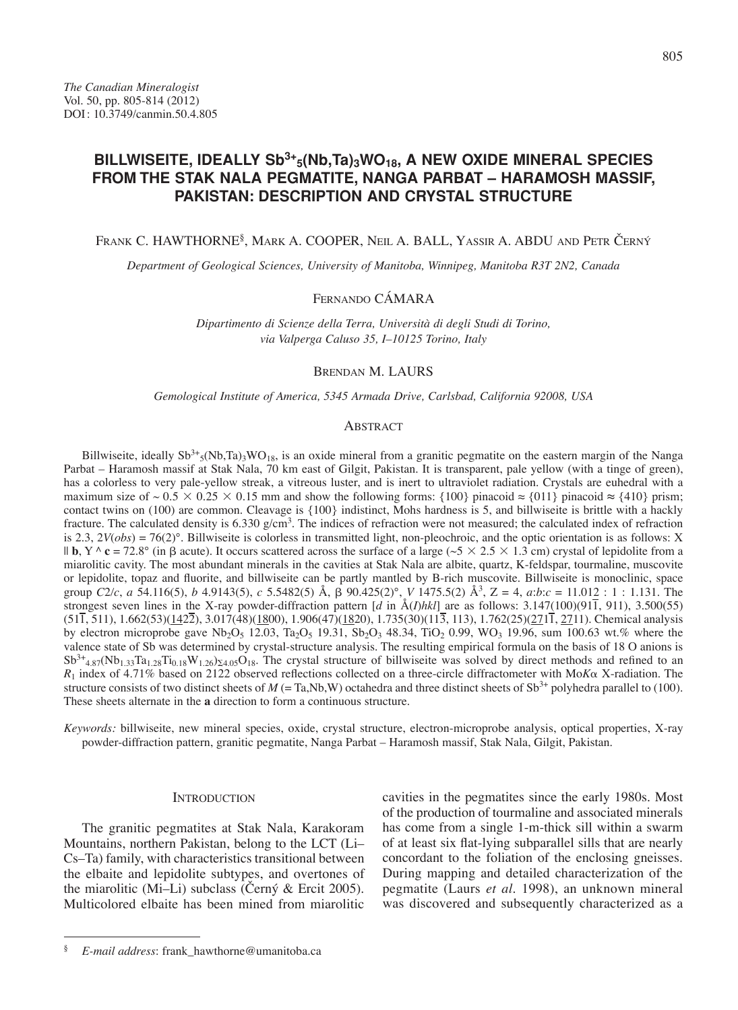# **BILLWISEITE, IDEALLY Sb3+5(Nb,Ta)3WO18, A NEW OXIDE MINERAL SPECIES FROM THE STAK NALA PEGMATITE, NANGA PARBAT – HARAMOSH MASSIF, PAKISTAN: DESCRIPTION AND CRYSTAL STRUCTURE**

Frank C. HAWTHORNE<sup>§</sup>, Mark A. COOPER, Neil A. BALL, Yassir A. ABDU and Petr Černý

*Department of Geological Sciences, University of Manitoba, Winnipeg, Manitoba R3T 2N2, Canada*

## Fernando CÁMARA

*Dipartimento di Scienze della Terra, Università di degli Studi di Torino, via Valperga Caluso 35, I–10125 Torino, Italy*

## Brendan M. LAURS

*Gemological Institute of America, 5345 Armada Drive, Carlsbad, California 92008, USA*

#### **ABSTRACT**

Billwiseite, ideally  $Sb^{3+}s(Nb,Ta)_{3}WO_{18}$ , is an oxide mineral from a granitic pegmatite on the eastern margin of the Nanga Parbat – Haramosh massif at Stak Nala, 70 km east of Gilgit, Pakistan. It is transparent, pale yellow (with a tinge of green), has a colorless to very pale-yellow streak, a vitreous luster, and is inert to ultraviolet radiation. Crystals are euhedral with a maximum size of ~ 0.5  $\times$  0.25  $\times$  0.15 mm and show the following forms: {100} pinacoid ≈ {011} pinacoid ≈ {410} prism; contact twins on (100) are common. Cleavage is {100} indistinct, Mohs hardness is 5, and billwiseite is brittle with a hackly fracture. The calculated density is 6.330 g/cm<sup>3</sup>. The indices of refraction were not measured; the calculated index of refraction is 2.3, 2*V*(*obs*) = 76(2)°. Billwiseite is colorless in transmitted light, non-pleochroic, and the optic orientation is as follows: X  $\ln$  **b**, Y  $\wedge$  **c** = 72.8° (in  $\beta$  acute). It occurs scattered across the surface of a large ( $\sim$  5  $\times$  2.5  $\times$  1.3 cm) crystal of lepidolite from a miarolitic cavity. The most abundant minerals in the cavities at Stak Nala are albite, quartz, K-feldspar, tourmaline, muscovite or lepidolite, topaz and fluorite, and billwiseite can be partly mantled by B-rich muscovite. Billwiseite is monoclinic, space group *C*2*/c*, *a* 54.116(5), *b* 4.9143(5), *c* 5.5482(5) Å, b 90.425(2)°, *V* 1475.5(2) Å3, Z = 4, *a*:*b*:*c* = 11.012 : 1 : 1.131. The strongest seven lines in the X-ray powder-diffraction pattern [*d* in Å(*I*)*hkl*] are as follows: 3.147(100)(911, 911), 3.500(55)  $(51\overline{1}, 511)$ ,  $1.662(53)(142\overline{2})$ ,  $3.017(48)(1800)$ ,  $1.906(47)(1820)$ ,  $1.735(30)(11\overline{3}, 113)$ ,  $1.762(25)(271\overline{1}, 2711)$ . Chemical analysis by electron microprobe gave Nb<sub>2</sub>O<sub>5</sub> 12.03, Ta<sub>2</sub>O<sub>5</sub> 19.31, Sb<sub>2</sub>O<sub>3</sub> 48.34, TiO<sub>2</sub> 0.99, WO<sub>3</sub> 19.96, sum 100.63 wt.% where the valence state of Sb was determined by crystal-structure analysis. The resulting empirical formula on the basis of 18 O anions is  $Sb^{3+}_{4,87}(Nb_{1,33}Ta_{1,28}Ti_{0,18}W_{1,26})\zeta_{4,05}O_{18}$ . The crystal structure of billwiseite was solved by direct methods and refined to an *R*1 index of 4.71% based on 2122 observed reflections collected on a three-circle diffractometer with Mo*K*a X-radiation. The structure consists of two distinct sheets of  $M$  (= Ta,Nb,W) octahedra and three distinct sheets of  $Sb<sup>3+</sup>$  polyhedra parallel to (100). These sheets alternate in the **a** direction to form a continuous structure.

*Keywords:* billwiseite, new mineral species, oxide, crystal structure, electron-microprobe analysis, optical properties, X-ray powder-diffraction pattern, granitic pegmatite, Nanga Parbat – Haramosh massif, Stak Nala, Gilgit, Pakistan.

## **INTRODUCTION**

The granitic pegmatites at Stak Nala, Karakoram Mountains, northern Pakistan, belong to the LCT (Li– Cs–Ta) family, with characteristics transitional between the elbaite and lepidolite subtypes, and overtones of the miarolitic (Mi–Li) subclass (Černý & Ercit 2005). Multicolored elbaite has been mined from miarolitic

cavities in the pegmatites since the early 1980s. Most of the production of tourmaline and associated minerals has come from a single 1-m-thick sill within a swarm of at least six flat-lying subparallel sills that are nearly concordant to the foliation of the enclosing gneisses. During mapping and detailed characterization of the pegmatite (Laurs *et al*. 1998), an unknown mineral was discovered and subsequently characterized as a

<sup>§</sup> *E-mail address*: frank\_hawthorne@umanitoba.ca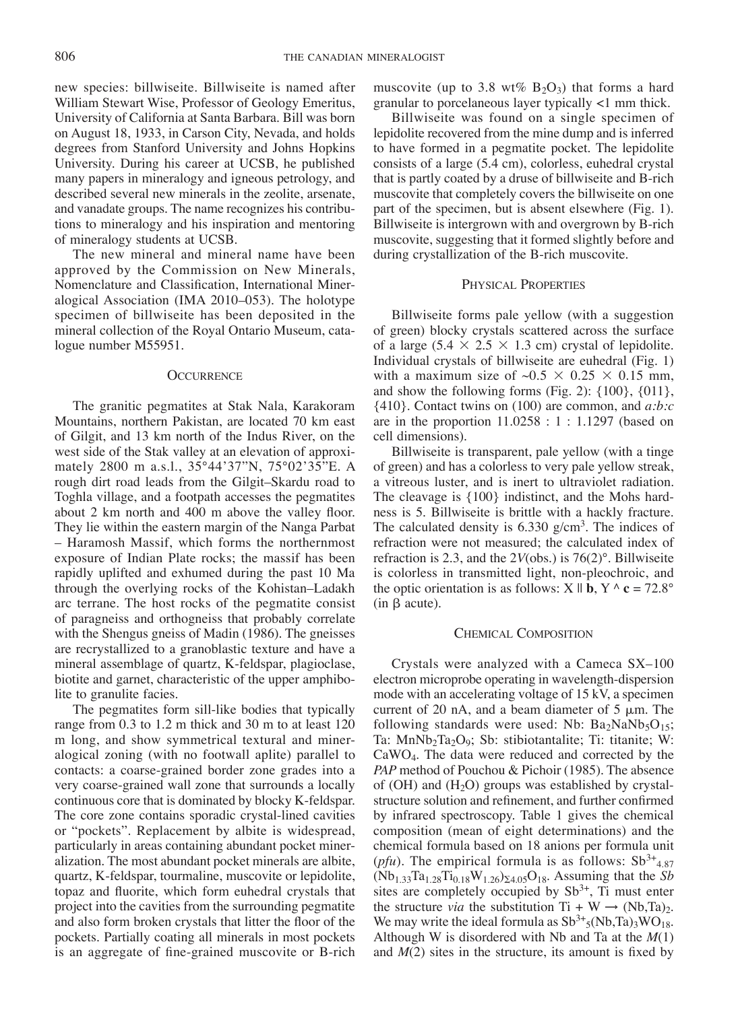new species: billwiseite. Billwiseite is named after William Stewart Wise, Professor of Geology Emeritus, University of California at Santa Barbara. Bill was born on August 18, 1933, in Carson City, Nevada, and holds degrees from Stanford University and Johns Hopkins University. During his career at UCSB, he published many papers in mineralogy and igneous petrology, and described several new minerals in the zeolite, arsenate, and vanadate groups. The name recognizes his contributions to mineralogy and his inspiration and mentoring of mineralogy students at UCSB.

The new mineral and mineral name have been approved by the Commission on New Minerals, Nomenclature and Classification, International Mineralogical Association (IMA 2010–053). The holotype specimen of billwiseite has been deposited in the mineral collection of the Royal Ontario Museum, catalogue number M55951.

#### **OCCURRENCE**

The granitic pegmatites at Stak Nala, Karakoram Mountains, northern Pakistan, are located 70 km east of Gilgit, and 13 km north of the Indus River, on the west side of the Stak valley at an elevation of approximately 2800 m a.s.l., 35°44'37"N, 75°02'35"E. A rough dirt road leads from the Gilgit–Skardu road to Toghla village, and a footpath accesses the pegmatites about 2 km north and 400 m above the valley floor. They lie within the eastern margin of the Nanga Parbat – Haramosh Massif, which forms the northernmost exposure of Indian Plate rocks; the massif has been rapidly uplifted and exhumed during the past 10 Ma through the overlying rocks of the Kohistan–Ladakh arc terrane. The host rocks of the pegmatite consist of paragneiss and orthogneiss that probably correlate with the Shengus gneiss of Madin (1986). The gneisses are recrystallized to a granoblastic texture and have a mineral assemblage of quartz, K-feldspar, plagioclase, biotite and garnet, characteristic of the upper amphibolite to granulite facies.

The pegmatites form sill-like bodies that typically range from 0.3 to 1.2 m thick and 30 m to at least 120 m long, and show symmetrical textural and mineralogical zoning (with no footwall aplite) parallel to contacts: a coarse-grained border zone grades into a very coarse-grained wall zone that surrounds a locally continuous core that is dominated by blocky K-feldspar. The core zone contains sporadic crystal-lined cavities or "pockets". Replacement by albite is widespread, particularly in areas containing abundant pocket mineralization. The most abundant pocket minerals are albite, quartz, K-feldspar, tourmaline, muscovite or lepidolite, topaz and fluorite, which form euhedral crystals that project into the cavities from the surrounding pegmatite and also form broken crystals that litter the floor of the pockets. Partially coating all minerals in most pockets is an aggregate of fine-grained muscovite or B-rich

muscovite (up to 3.8 wt%  $B_2O_3$ ) that forms a hard granular to porcelaneous layer typically <1 mm thick.

Billwiseite was found on a single specimen of lepidolite recovered from the mine dump and is inferred to have formed in a pegmatite pocket. The lepidolite consists of a large (5.4 cm), colorless, euhedral crystal that is partly coated by a druse of billwiseite and B-rich muscovite that completely covers the billwiseite on one part of the specimen, but is absent elsewhere (Fig. 1). Billwiseite is intergrown with and overgrown by B-rich muscovite, suggesting that it formed slightly before and during crystallization of the B-rich muscovite.

## Physical Properties

Billwiseite forms pale yellow (with a suggestion of green) blocky crystals scattered across the surface of a large (5.4  $\times$  2.5  $\times$  1.3 cm) crystal of lepidolite. Individual crystals of billwiseite are euhedral (Fig. 1) with a maximum size of  $\sim 0.5 \times 0.25 \times 0.15$  mm, and show the following forms (Fig. 2): {100}, {011}, {410}. Contact twins on (100) are common, and *a:b:c* are in the proportion  $11.0258 : 1 : 1.1297$  (based on cell dimensions).

Billwiseite is transparent, pale yellow (with a tinge of green) and has a colorless to very pale yellow streak, a vitreous luster, and is inert to ultraviolet radiation. The cleavage is {100} indistinct, and the Mohs hardness is 5. Billwiseite is brittle with a hackly fracture. The calculated density is  $6.330 \text{ g/cm}^3$ . The indices of refraction were not measured; the calculated index of refraction is 2.3, and the 2*V*(obs.) is 76(2)°. Billwiseite is colorless in transmitted light, non-pleochroic, and the optic orientation is as follows:  $X \parallel \mathbf{b}$ ,  $Y \wedge \mathbf{c} = 72.8^\circ$  $(in \beta acute).$ 

#### Chemical Composition

Crystals were analyzed with a Cameca SX–100 electron microprobe operating in wavelength-dispersion mode with an accelerating voltage of 15 kV, a specimen current of 20 nA, and a beam diameter of  $5 \mu m$ . The following standards were used: Nb:  $Ba<sub>2</sub>NaNb<sub>5</sub>O<sub>15</sub>$ ; Ta: MnNb<sub>2</sub>Ta<sub>2</sub>O<sub>9</sub>; Sb: stibiotantalite; Ti: titanite; W: CaWO4. The data were reduced and corrected by the *PAP* method of Pouchou & Pichoir (1985). The absence of (OH) and  $(H<sub>2</sub>O)$  groups was established by crystalstructure solution and refinement, and further confirmed by infrared spectroscopy. Table 1 gives the chemical composition (mean of eight determinations) and the chemical formula based on 18 anions per formula unit (*pfu*). The empirical formula is as follows:  $Sb^{3+}_{4.87}$  $(Nb_{1.33}Ta_{1.28}Ti_{0.18}W_{1.26})_{24.05}O_{18}$ . Assuming that the *Sb* sites are completely occupied by  $Sb^{3+}$ , Ti must enter the structure *via* the substitution  $Ti + W \rightarrow (Nb, Ta)_2$ . We may write the ideal formula as  $Sb^{3+}{}_{5}(Nb, Ta)_{3}WO_{18}$ . Although W is disordered with Nb and Ta at the *M*(1) and *M*(2) sites in the structure, its amount is fixed by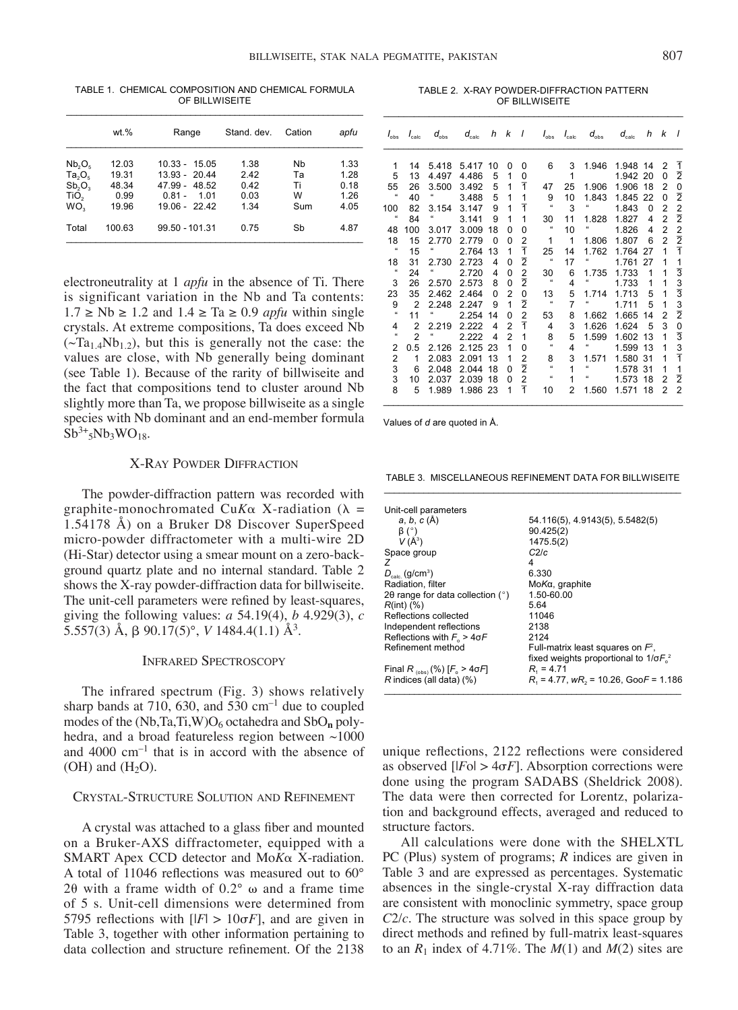|                                        | wt.%          | Range                              | Stand, dev.  | Cation  | apfu         |
|----------------------------------------|---------------|------------------------------------|--------------|---------|--------------|
| Nb <sub>2</sub> O <sub>5</sub>         | 12.03         | $10.33 - 15.05$                    | 1.38         | Nb      | 1.33         |
| $Ta_2O_5$                              | 19.31         | $13.93 - 20.44$                    | 2.42         | Та      | 1.28         |
| Sb, O <sub>3</sub><br>TiO <sub>2</sub> | 48.34<br>0.99 | 47.99 - 48.52<br>$0.81 -$<br>1 0 1 | 0.42<br>0.03 | Τi<br>W | 0.18<br>1.26 |
| WO <sub>2</sub>                        | 19.96         | $19.06 - 22.42$                    | 1.34         | Sum     | 4.05         |
| Total                                  | 100.63        | 99.50 - 101.31                     | 0.75         | Sb      | 4.87         |

electroneutrality at 1 *apfu* in the absence of Ti. There is significant variation in the Nb and Ta contents: 1.7 ≥ Nb ≥ 1.2 and 1.4 ≥ Ta ≥ 0.9 *apfu* within single crystals. At extreme compositions, Ta does exceed Nb  $(\sim Ta_{1.4}Nb_{1.2})$ , but this is generally not the case: the values are close, with Nb generally being dominant (see Table 1). Because of the rarity of billwiseite and the fact that compositions tend to cluster around Nb slightly more than Ta, we propose billwiseite as a single species with Nb dominant and an end-member formula

TABLE 1. CHEMICAL COMPOSITION AND CHEMICAL FORMULA OF BILLWISEITE

TABLE 2. X-RAY POWDER-DIFFRACTION PATTERN OF BILLWISEITE

| $I_{\text{obs}}$           | $I_{\text{calc}}$ | $d_{\text{obs}}$           | $d_{\text{calc}}$ | h        | k              | $\sqrt{ }$     |                          | $I_{\text{obs}}$ $I_{\text{calc}}$ | $d_{\text{obs}}$           | $d_{\text{calc}}$ |          | $h$ $k$        | $\prime$       |
|----------------------------|-------------------|----------------------------|-------------------|----------|----------------|----------------|--------------------------|------------------------------------|----------------------------|-------------------|----------|----------------|----------------|
| 1                          | 14                | 5.418                      | 5.417             | 10       | 0              | 0              | 6                        | 3                                  | 1.946                      | 1.948             | 14       | $\overline{2}$ | ī              |
| 5                          | 13                | 4.497                      | 4.486             | 5        | 1              | 0              |                          | $\mathbf{1}$                       |                            | 1.942             | 20       | 0              | $\overline{2}$ |
| 55                         | 26                | 3.500                      | 3.492             | 5        | $\mathbf{1}$   | $\overline{1}$ | 47                       | 25                                 | 1.906                      | 1.906             | 18       | $\overline{2}$ | $\mathbf 0$    |
| $\alpha$                   | 40                |                            | 3.488             | 5        | $\mathbf{1}$   | $\mathbf{1}$   | 9                        | 10                                 | 1.843                      | 1.845             | 22       | $\Omega$       | $\overline{2}$ |
| 100                        | 82                | 3.154                      | 3.147             | 9        | 1              | $\overline{1}$ | $\boldsymbol{\mu}$       | 3                                  | $\epsilon\epsilon$         | 1.843             | $\Omega$ | $\overline{2}$ |                |
| $\mathfrak{c}\mathfrak{c}$ | 84                |                            | 3.141             | 9        | 1              | 1              | 30                       | 11                                 | 1.828                      | 1.827             | 4        | $\overline{2}$ | $\frac{2}{2}$  |
| 48                         | 100               | 3.017                      | 3.009             | 18       | 0              | $\Omega$       |                          | 10                                 | $\epsilon\epsilon$         | 1.826             | 4        | $\overline{2}$ |                |
| 18                         | 15                | 2.770                      | 2.779             | $\Omega$ | $\Omega$       | $\overline{2}$ | 1                        | $\overline{1}$                     | 1.806                      | 1.807             | 6        | $\overline{2}$ | $rac{2}{1}$    |
| $^{16}$                    | 15                | 66                         | 2.764             | 13       | 1              | $\overline{1}$ | 25                       | 14                                 | 1.762                      | 1.764             | 27       | 1              |                |
| 18                         | 31                | 2.730                      | 2.723             | 4        | 0              | $\overline{2}$ | 66                       | 17                                 | $\mathfrak{c}\mathfrak{c}$ | 1.761             | 27       | 1              |                |
| $\mathfrak{c}\mathfrak{c}$ | 24                | $\mathfrak{c}\mathfrak{c}$ | 2.720             | 4        | $\Omega$       | $\overline{2}$ | 30                       | 6                                  | 1.735                      | 1.733             | 1        | 1              | $\frac{1}{3}$  |
| 3                          | 26                | 2.570                      | 2.573             | 8        | $\Omega$       | $\overline{2}$ | $\overline{\phantom{a}}$ | 4                                  | $\epsilon\epsilon$         | 1.733             | 1        | 1              | 3              |
| 23                         | 35                | 2.462                      | 2.464             | $\Omega$ | $\overline{2}$ | 0              | 13                       | 5                                  | 1.714                      | 1.713             | 5        | 1              | $\overline{3}$ |
| 9                          | $\overline{2}$    | 2.248                      | 2.247             | 9        | 1              | $\overline{2}$ | $\alpha$                 | $\overline{7}$                     | $\mathfrak{c}\mathfrak{c}$ | 1.711             | 5        | 1              | 3              |
| $\alpha$                   | 11                | a                          | 2.254             | 14       | $\Omega$       | $\overline{2}$ | 53                       | 8                                  | 1.662                      | 1.665             | 14       | $\overline{2}$ | $\overline{2}$ |
| 4                          | $\overline{2}$    | 2.219                      | 2.222             | 4        | $\overline{2}$ | $\overline{1}$ | 4                        | 3                                  | 1.626                      | 1.624             | 5        | 3              | 0              |
| $\alpha$                   | $\overline{2}$    | $\alpha$                   | 2.222             | 4        | $\overline{2}$ | $\mathbf{1}$   | 8                        | 5                                  | 1.599                      | 1.602             | 13       | 1              | $\overline{3}$ |
| $\overline{2}$             | 0.5               | 2.126                      | 2.125             | 23       | 1              | 0              | $\alpha$                 | 4                                  | $\boldsymbol{\mu}$         | 1.599             | 13       | 1              | 3              |
| $\overline{2}$             | 1                 | 2.083                      | 2.091             | 13       | 1              | $\overline{2}$ | 8                        | 3                                  | 1.571                      | 1.580             | 31       | 1              | $\overline{1}$ |
| 3                          | 6                 | 2.048                      | 2.044             | 18       | $\Omega$       | $\overline{2}$ | $\sim$                   | 1                                  | $\alpha$                   | 1.578             | 31       | 1              | 1              |
| 3                          | 10                | 2.037                      | 2.039             | 18       | $\Omega$       | $\overline{2}$ | $\alpha$                 | 1                                  | $\mathfrak{c}\mathfrak{c}$ | 1.573             | 18       | $\overline{2}$ | $\overline{2}$ |
| 8                          | 5                 | 1.989                      | 1.986 23          |          | 1              | Ŧ              | 10                       | $\overline{2}$                     | 1.560                      | 1.571             | 18       | $\overline{2}$ | $\overline{2}$ |

Values of *d* are quoted in Å.

X-Ray Powder Diffraction

 $Sb^{3+}5Nb_3WO_{18}$ .

The powder-diffraction pattern was recorded with graphite-monochromated CuK $\alpha$  X-radiation ( $\lambda$  = 1.54178 Å) on a Bruker D8 Discover SuperSpeed micro-powder diffractometer with a multi-wire 2D (Hi-Star) detector using a smear mount on a zero-background quartz plate and no internal standard. Table 2 shows the X-ray powder-diffraction data for billwiseite. The unit-cell parameters were refined by least-squares, giving the following values: *a* 54.19(4), *b* 4.929(3), *c* 5.557(3) Å, b 90.17(5)°, *V* 1484.4(1.1) Å3.

#### Infrared Spectroscopy

The infrared spectrum (Fig. 3) shows relatively sharp bands at 710, 630, and 530  $\text{cm}^{-1}$  due to coupled modes of the (Nb,Ta,Ti,W)O<sub>6</sub> octahedra and SbO<sub>n</sub> polyhedra, and a broad featureless region between ~1000 and 4000 cm–1 that is in accord with the absence of  $(OH)$  and  $(H<sub>2</sub>O)$ .

## Crystal-Structure Solution and Refinement

A crystal was attached to a glass fiber and mounted on a Bruker-AXS diffractometer, equipped with a SMART Apex CCD detector and Mo*K*a X-radiation. A total of 11046 reflections was measured out to 60° 20 with a frame width of  $0.2^{\circ}$   $\omega$  and a frame time of 5 s. Unit-cell dimensions were determined from 5795 reflections with  $\vert F \vert > 10 \sigma F \vert$ , and are given in Table 3, together with other information pertaining to data collection and structure refinement. Of the 2138

TABLE 3. MISCELLANEOUS REFINEMENT DATA FOR BILLWISEITE \_\_\_\_\_\_\_\_\_\_\_\_\_\_\_\_\_\_\_\_\_\_\_\_\_\_\_\_\_\_\_\_\_\_\_\_\_\_\_\_\_\_\_\_\_\_\_\_\_\_\_\_\_\_\_\_\_\_\_\_

| Unit-cell parameters                              |                                              |
|---------------------------------------------------|----------------------------------------------|
| a, b, c (A)                                       | 54.116(5), 4.9143(5), 5.5482(5)              |
| $\beta$ (°)                                       | 90.425(2)                                    |
| $V(\AA^3)$                                        | 1475.5(2)                                    |
| Space group                                       | C <sub>2/c</sub>                             |
| 7                                                 | 4                                            |
| $D_{\text{c}}$ (g/cm <sup>3</sup> )               | 6.330                                        |
| Radiation, filter                                 | Mo <i>K</i> α, graphite                      |
| 20 range for data collection $(°)$                | 1.50-60.00                                   |
| $R(int)$ $(\%)$                                   | 5.64                                         |
| Reflections collected                             | 11046                                        |
| Independent reflections                           | 2138                                         |
| Reflections with $F_{\rm g}$ > 4 $\sigma$ F       | 2124                                         |
| Refinement method                                 | Full-matrix least squares on $F^2$ ,         |
|                                                   | fixed weights proportional to $1/\sigma F02$ |
| Final R <sub>(obs)</sub> (%) [ $F_{\rm o}$ > 4σF] | $R_{1} = 4.71$                               |
| $R$ indices (all data) $(\%)$                     | $R_1$ = 4.77, $wR_2$ = 10.26, GooF = 1.186   |
|                                                   |                                              |

unique reflections, 2122 reflections were considered as observed  $[|F_0| > 4\sigma F]$ . Absorption corrections were done using the program SADABS (Sheldrick 2008). The data were then corrected for Lorentz, polarization and background effects, averaged and reduced to structure factors.

All calculations were done with the SHELXTL PC (Plus) system of programs; *R* indices are given in Table 3 and are expressed as percentages. Systematic absences in the single-crystal X-ray diffraction data are consistent with monoclinic symmetry, space group *C*2/*c*. The structure was solved in this space group by direct methods and refined by full-matrix least-squares to an  $R_1$  index of 4.71%. The  $M(1)$  and  $M(2)$  sites are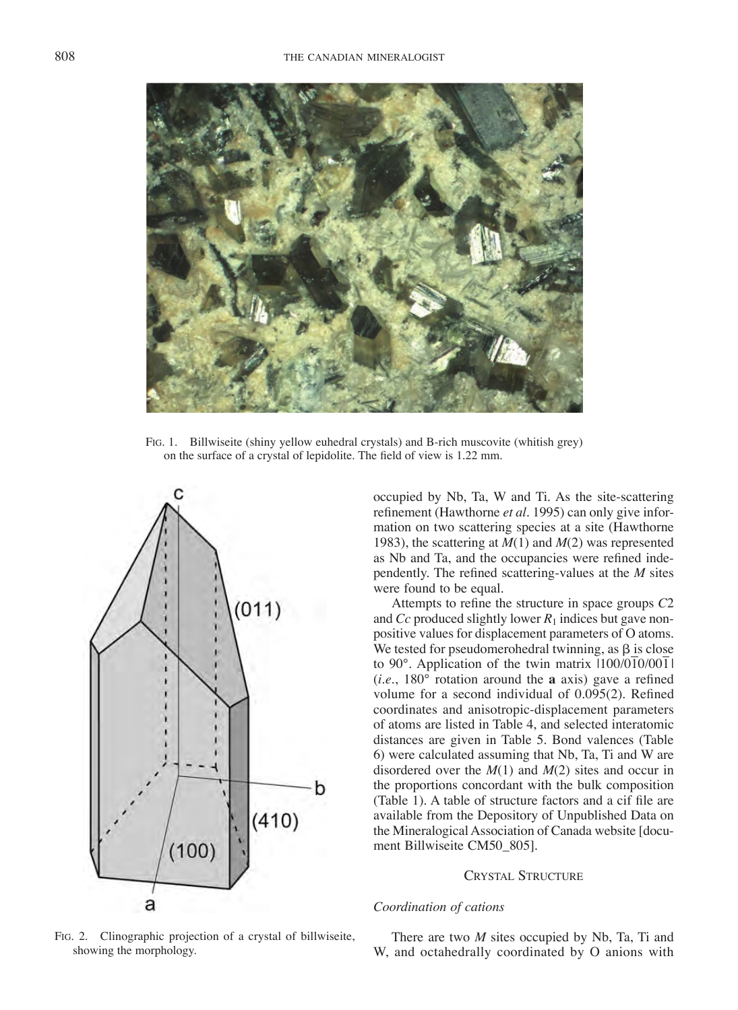

Fig. 1. Billwiseite (shiny yellow euhedral crystals) and B-rich muscovite (whitish grey) on the surface of a crystal of lepidolite. The field of view is 1.22 mm.



occupied by Nb, Ta, W and Ti. As the site-scattering refinement (Hawthorne *et al.* 1995) can only give information on two scattering species at a site (Hawthorne 1983), the scattering at *M*(1) and *M*(2) was represented as Nb and Ta, and the occupancies were refined independently. The refined scattering-values at the *M* sites were found to be equal.

Attempts to refine the structure in space groups *C*2 and *Cc* produced slightly lower  $R_1$  indices but gave nonpositive values for displacement parameters of O atoms. We tested for pseudomerohedral twinning, as  $\beta$  is close to 90°. Application of the twin matrix  $1100/010/001$ (*i.e*., 180° rotation around the **a** axis) gave a refined volume for a second individual of 0.095(2). Refined coordinates and anisotropic-displacement parameters of atoms are listed in Table 4, and selected interatomic distances are given in Table 5. Bond valences (Table 6) were calculated assuming that Nb, Ta, Ti and W are disordered over the *M*(1) and *M*(2) sites and occur in the proportions concordant with the bulk composition (Table 1). A table of structure factors and a cif file are available from the Depository of Unpublished Data on the Mineralogical Association of Canada website [document Billwiseite CM50\_805].

#### Crystal Structure

## *Coordination of cations*

Fig. 2. Clinographic projection of a crystal of billwiseite, showing the morphology.

There are two *M* sites occupied by Nb, Ta, Ti and W, and octahedrally coordinated by O anions with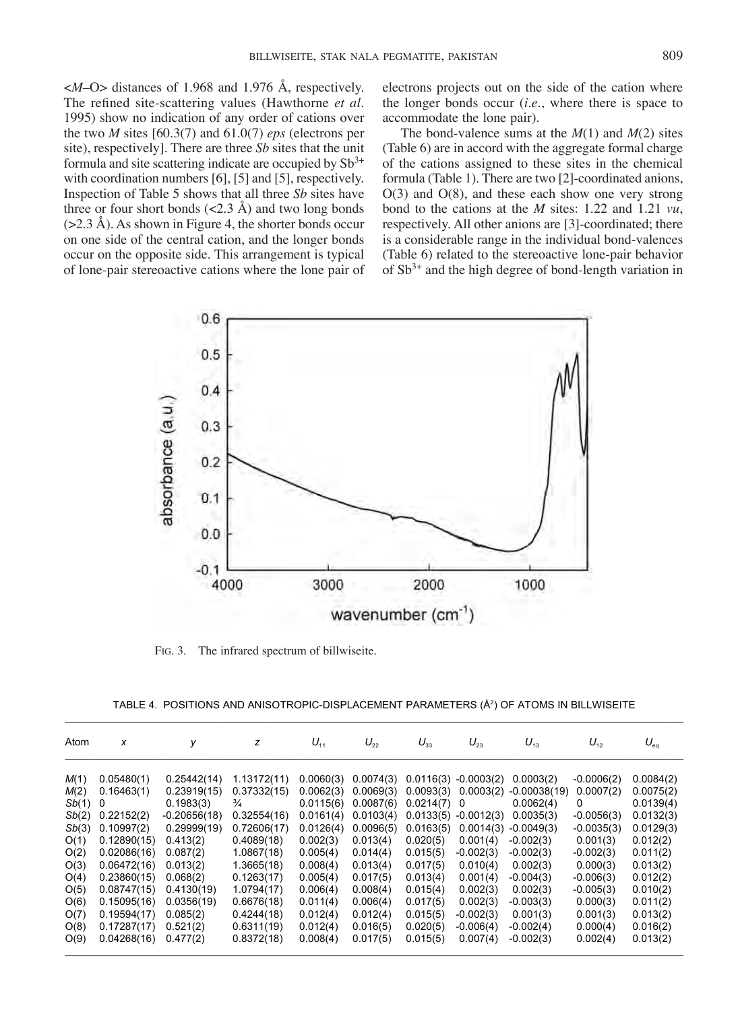$\langle M - Q \rangle$  distances of 1.968 and 1.976 Å, respectively. The refined site-scattering values (Hawthorne *et al.* 1995) show no indication of any order of cations over the two *M* sites [60.3(7) and 61.0(7) *eps* (electrons per site), respectively]. There are three *Sb* sites that the unit formula and site scattering indicate are occupied by  $Sb^{3+}$ with coordination numbers [6], [5] and [5], respectively. Inspection of Table 5 shows that all three *Sb* sites have three or four short bonds  $\left($ <2.3 Å) and two long bonds  $(>2.3 \text{ Å})$ . As shown in Figure 4, the shorter bonds occur on one side of the central cation, and the longer bonds occur on the opposite side. This arrangement is typical of lone-pair stereoactive cations where the lone pair of electrons projects out on the side of the cation where the longer bonds occur (*i.e*., where there is space to accommodate the lone pair).

The bond-valence sums at the *M*(1) and *M*(2) sites (Table 6) are in accord with the aggregate formal charge of the cations assigned to these sites in the chemical formula (Table 1). There are two [2]-coordinated anions, O(3) and O(8), and these each show one very strong bond to the cations at the *M* sites: 1.22 and 1.21 *vu*, respectively. All other anions are [3]-coordinated; there is a considerable range in the individual bond-valences (Table 6) related to the stereoactive lone-pair behavior of  $Sb^{3+}$  and the high degree of bond-length variation in



Fig. 3. The infrared spectrum of billwiseite.

| TABLE 4.  POSITIONS AND ANISOTROPIC-DISPLACEMENT PARAMETERS (Ų) OF ATOMS IN BILLWISEITE |  |  |  |  |  |  |
|-----------------------------------------------------------------------------------------|--|--|--|--|--|--|
|-----------------------------------------------------------------------------------------|--|--|--|--|--|--|

| Atom  | X           | V              | z             | $U_{11}$  | $U_{22}$  | $U_{33}$  | $U_{23}$               | $U_{13}$       | $U_{12}$     | $U_{eq}$  |
|-------|-------------|----------------|---------------|-----------|-----------|-----------|------------------------|----------------|--------------|-----------|
| M(1)  | 0.05480(1)  | 0.25442(14)    | 1.13172(11)   | 0.0060(3) | 0.0074(3) |           | $0.0116(3) -0.0003(2)$ | 0.0003(2)      | $-0.0006(2)$ | 0.0084(2) |
| M(2)  | 0.16463(1)  | 0.23919(15)    | 0.37332(15)   | 0.0062(3) | 0.0069(3) | 0.0093(3) | 0.0003(2)              | $-0.00038(19)$ | 0.0007(2)    | 0.0075(2) |
| Sb(1) | 0           | 0.1983(3)      | $\frac{3}{4}$ | 0.0115(6) | 0.0087(6) | 0.0214(7) | 0                      | 0.0062(4)      | 0            | 0.0139(4) |
| Sb(2) | 0.22152(2)  | $-0.20656(18)$ | 0.32554(16)   | 0.0161(4) | 0.0103(4) |           | $0.0133(5) -0.0012(3)$ | 0.0035(3)      | $-0.0056(3)$ | 0.0132(3) |
| Sb(3) | 0.10997(2)  | 0.29999(19)    | 0.72606(17)   | 0.0126(4) | 0.0096(5) | 0.0163(5) | 0.0014(3)              | $-0.0049(3)$   | $-0.0035(3)$ | 0.0129(3) |
| O(1)  | 0.12890(15) | 0.413(2)       | 0.4089(18)    | 0.002(3)  | 0.013(4)  | 0.020(5)  | 0.001(4)               | $-0.002(3)$    | 0.001(3)     | 0.012(2)  |
| O(2)  | 0.02086(16) | 0.087(2)       | 1.0867(18)    | 0.005(4)  | 0.014(4)  | 0.015(5)  | $-0.002(3)$            | $-0.002(3)$    | $-0.002(3)$  | 0.011(2)  |
| O(3)  | 0.06472(16) | 0.013(2)       | 1.3665(18)    | 0.008(4)  | 0.013(4)  | 0.017(5)  | 0.010(4)               | 0.002(3)       | 0.000(3)     | 0.013(2)  |
| O(4)  | 0.23860(15) | 0.068(2)       | 0.1263(17)    | 0.005(4)  | 0.017(5)  | 0.013(4)  | 0.001(4)               | $-0.004(3)$    | $-0.006(3)$  | 0.012(2)  |
| O(5)  | 0.08747(15) | 0.4130(19)     | 1.0794(17)    | 0.006(4)  | 0.008(4)  | 0.015(4)  | 0.002(3)               | 0.002(3)       | $-0.005(3)$  | 0.010(2)  |
| O(6)  | 0.15095(16) | 0.0356(19)     | 0.6676(18)    | 0.011(4)  | 0.006(4)  | 0.017(5)  | 0.002(3)               | $-0.003(3)$    | 0.000(3)     | 0.011(2)  |
| O(7)  | 0.19594(17) | 0.085(2)       | 0.4244(18)    | 0.012(4)  | 0.012(4)  | 0.015(5)  | $-0.002(3)$            | 0.001(3)       | 0.001(3)     | 0.013(2)  |
| O(8)  | 0.17287(17) | 0.521(2)       | 0.6311(19)    | 0.012(4)  | 0.016(5)  | 0.020(5)  | $-0.006(4)$            | $-0.002(4)$    | 0.000(4)     | 0.016(2)  |
| O(9)  | 0.04268(16) | 0.477(2)       | 0.8372(18)    | 0.008(4)  | 0.017(5)  | 0.015(5)  | 0.007(4)               | $-0.002(3)$    | 0.002(4)     | 0.013(2)  |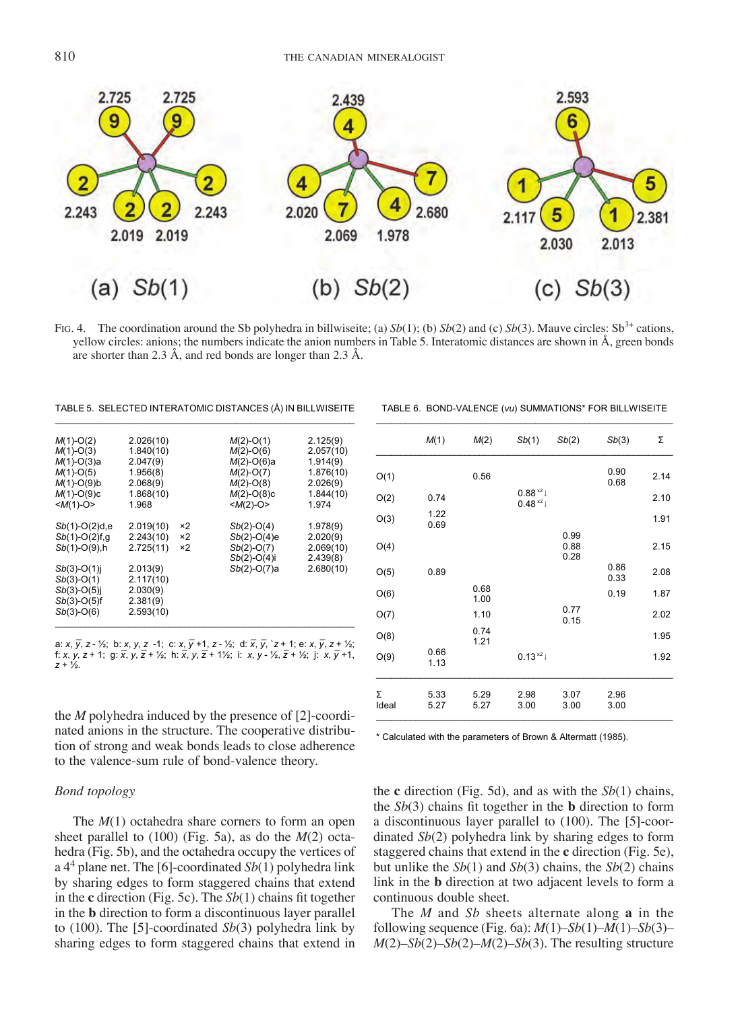

Fig. 4. The coordination around the Sb polyhedra in billwiseite; (a)  $Sb(1)$ ; (b)  $Sb(2)$  and (c)  $Sb(3)$ . Mauve circles: Sb<sup>3+</sup> cations, yellow circles: anions; the numbers indicate the anion numbers in Table 5. Interatomic distances are shown in Å, green bonds are shorter than 2.3 Å, and red bonds are longer than 2.3 Å.

TABLE 5. SELECTED INTERATOMIC DISTANCES (Å) IN BILLWISEITE

| $M(1)-O(2)$              | 2.026(10) |    | $M(2)-O(1)$    | 2.125(9)  |
|--------------------------|-----------|----|----------------|-----------|
| $M(1)-O(3)$              | 1.840(10) |    | $M(2)-O(6)$    | 2.057(10) |
| $M(1)-O(3)a$             | 2.047(9)  |    | $M(2)-O(6)$ a  | 1.914(9)  |
| $M(1)-O(5)$              | 1.956(8)  |    | $M(2)-O(7)$    | 1.876(10) |
| $M(1)-O(9)$ <sub>b</sub> | 2.068(9)  |    | $M(2)-O(8)$    | 2.026(9)  |
| $M(1)-O(9)c$             | 1.868(10) |    | $M(2)-O(8)c$   | 1.844(10) |
| $$                       | 1.968     |    | $$             | 1.974     |
| $Sb(1)-O(2)d,e$          | 2.019(10) | ×2 | $Sb(2)-O(4)$   | 1.978(9)  |
| $Sb(1)-O(2)f, g$         | 2.243(10) | ×2 | $Sb(2)-O(4)e$  | 2.020(9)  |
| $Sb(1)-O(9)$ , h         | 2.725(11) | ×2 | $Sb(2)-O(7)$   | 2.069(10) |
|                          |           |    | $Sb(2)-O(4)$ i | 2.439(8)  |
| $Sb(3)-O(1)$ j           | 2.013(9)  |    | $Sb(2)-O(7)a$  | 2.680(10) |
| $Sb(3)-O(1)$             | 2.117(10) |    |                |           |
| $Sb(3)-O(5)$ j           | 2.030(9)  |    |                |           |
| $Sb(3)-O(5)$ f           | 2.381(9)  |    |                |           |
| $Sb(3)-O(6)$             | 2.593(10) |    |                |           |
|                          |           |    |                |           |

a: x, y, z - ½; b: x, y, z -1; c: x, y +1, z - ½; d: x, y, `z + 1; e: x, y, z + ½;<br>f: x, y, z + 1; g:  $\overline{x}$ , y,  $\overline{z}$  + ½; h:  $\overline{x}$ , y,  $\overline{z}$  + 1½; i: x, y - ½,  $\overline{z}$  + ½; j: x,  $\overline{y}$  +1, *z* + ½.

the *M* polyhedra induced by the presence of [2]-coordinated anions in the structure. The cooperative distribution of strong and weak bonds leads to close adherence to the valence-sum rule of bond-valence theory.

## *Bond topology*

The *M*(1) octahedra share corners to form an open sheet parallel to (100) (Fig. 5a), as do the *M*(2) octahedra (Fig. 5b), and the octahedra occupy the vertices of a 44 plane net. The [6]-coordinated *Sb*(1) polyhedra link by sharing edges to form staggered chains that extend in the **c** direction (Fig. 5c). The *Sb*(1) chains fit together in the **b** direction to form a discontinuous layer parallel to (100). The [5]-coordinated *Sb*(3) polyhedra link by sharing edges to form staggered chains that extend in

TABLE 6. BOND-VALENCE (*vu*) SUMMATIONS\* FOR BILLWISEITE

|            | M(1)         | M(2)         | Sb(1)                   | Sb(2)                | Sb(3)        | Σ    |
|------------|--------------|--------------|-------------------------|----------------------|--------------|------|
| O(1)       |              | 0.56         |                         |                      | 0.90<br>0.68 | 2.14 |
| O(2)       | 0.74         |              | $0.88*2$<br>$0.48^{x2}$ |                      |              | 2.10 |
| O(3)       | 1.22<br>0.69 |              |                         |                      |              | 1.91 |
| O(4)       |              |              |                         | 0.99<br>0.88<br>0.28 |              | 2.15 |
| O(5)       | 0.89         |              |                         |                      | 0.86<br>0.33 | 2.08 |
| O(6)       |              | 0.68<br>1.00 |                         |                      | 0.19         | 1.87 |
| O(7)       |              | 1.10         |                         | 0.77<br>0.15         |              | 2.02 |
| O(8)       |              | 0.74<br>1.21 |                         |                      |              | 1.95 |
| O(9)       | 0.66<br>1.13 |              | $0.13^{x2}$             |                      |              | 1.92 |
| Σ<br>Ideal | 5.33<br>5.27 | 5.29<br>5.27 | 2.98<br>3.00            | 3.07<br>3.00         | 2.96<br>3.00 |      |

\* Calculated with the parameters of Brown & Altermatt (1985).

the **c** direction (Fig. 5d), and as with the *Sb*(1) chains, the *Sb*(3) chains fit together in the **b** direction to form a discontinuous layer parallel to (100). The [5]-coordinated *Sb*(2) polyhedra link by sharing edges to form staggered chains that extend in the **c** direction (Fig. 5e), but unlike the *Sb*(1) and *Sb*(3) chains, the *Sb*(2) chains link in the **b** direction at two adjacent levels to form a continuous double sheet.

The *M* and *Sb* sheets alternate along **a** in the following sequence (Fig. 6a): *M*(1)–*Sb*(1)–*M*(1)–*Sb*(3)– *M*(2)–*Sb*(2)–*Sb*(2)–*M*(2)–*Sb*(3). The resulting structure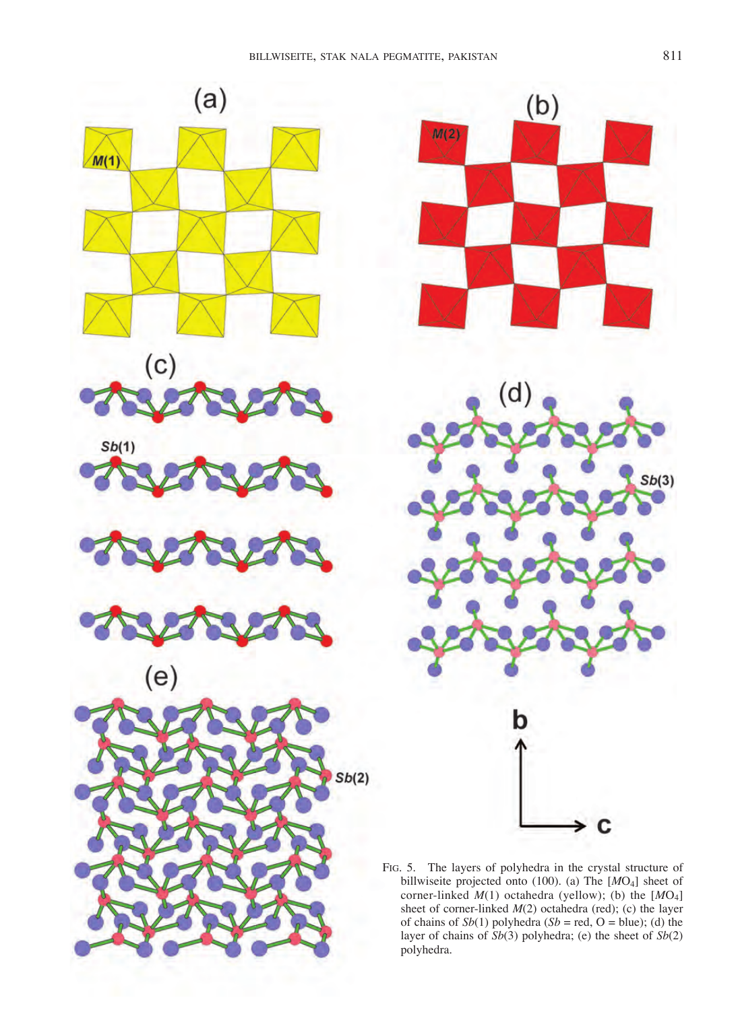





Fig. 5. The layers of polyhedra in the crystal structure of billwiseite projected onto (100). (a) The [*M*O4] sheet of corner-linked *M*(1) octahedra (yellow); (b) the [*M*O4] sheet of corner-linked *M*(2) octahedra (red); (c) the layer of chains of  $Sb(1)$  polyhedra ( $Sb$  = red, O = blue); (d) the layer of chains of *Sb*(3) polyhedra; (e) the sheet of *Sb*(2) polyhedra.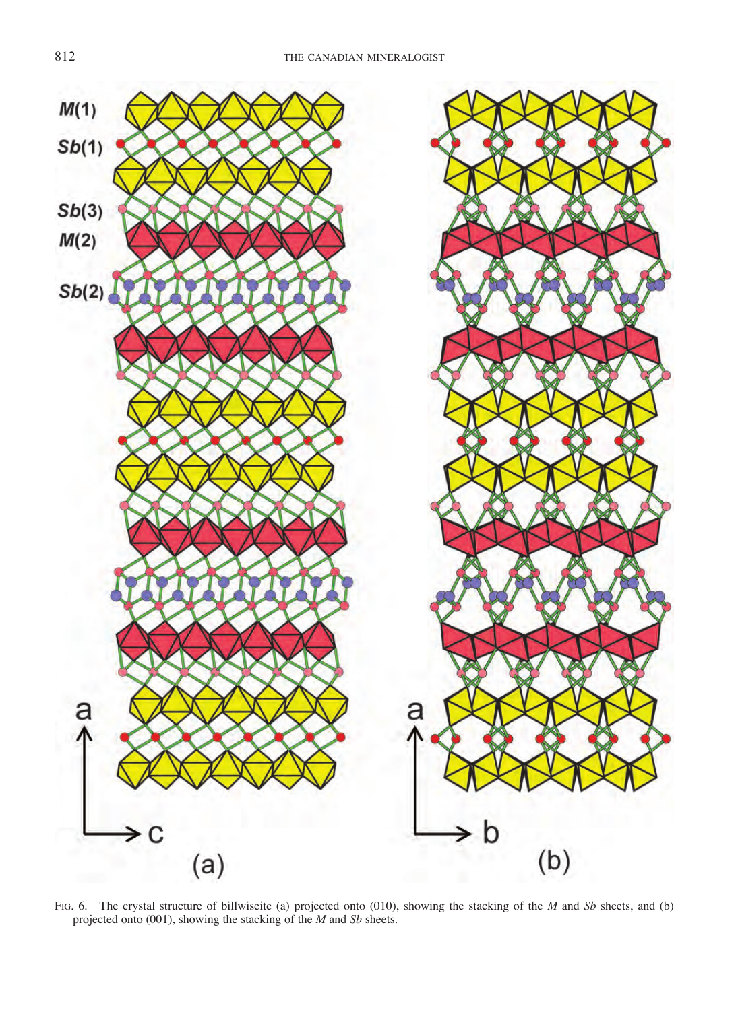

Fig. 6. The crystal structure of billwiseite (a) projected onto (010), showing the stacking of the *M* and *Sb* sheets, and (b) projected onto (001), showing the stacking of the *M* and *Sb* sheets.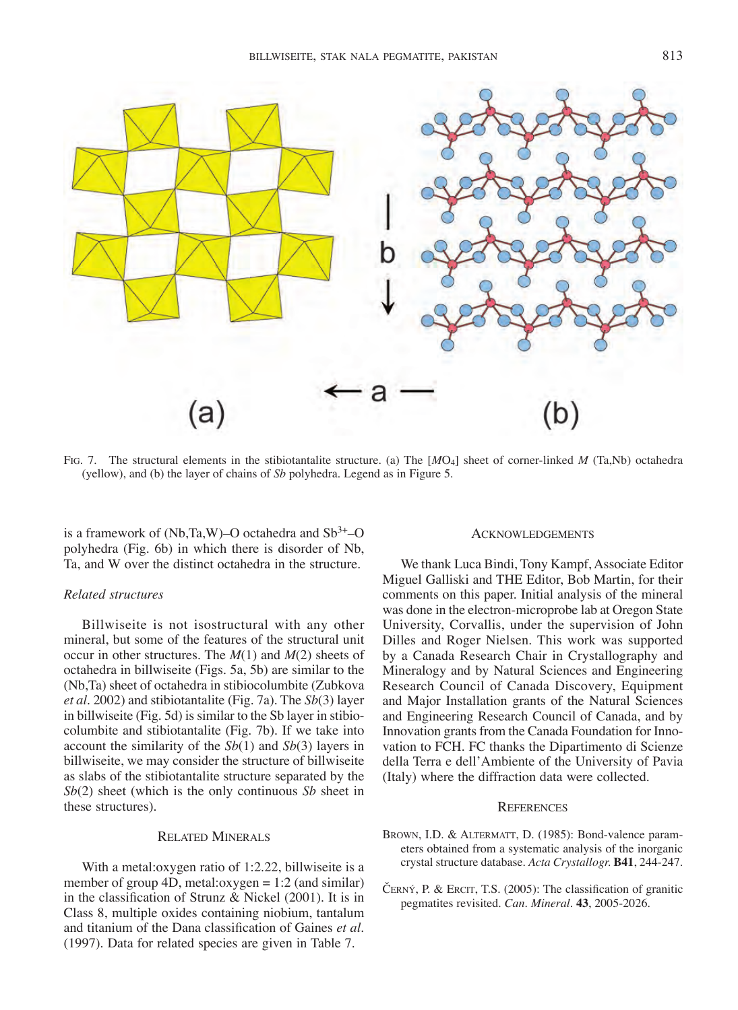

Fig. 7. The structural elements in the stibiotantalite structure. (a) The [*M*O4] sheet of corner-linked *M* (Ta,Nb) octahedra (yellow), and (b) the layer of chains of *Sb* polyhedra. Legend as in Figure 5.

is a framework of (Nb,Ta,W)–O octahedra and  $Sb^{3+}$ –O polyhedra (Fig. 6b) in which there is disorder of Nb, Ta, and W over the distinct octahedra in the structure.

## *Related structures*

Billwiseite is not isostructural with any other mineral, but some of the features of the structural unit occur in other structures. The *M*(1) and *M*(2) sheets of octahedra in billwiseite (Figs. 5a, 5b) are similar to the (Nb,Ta) sheet of octahedra in stibiocolumbite (Zubkova *et al.* 2002) and stibiotantalite (Fig. 7a). The *Sb*(3) layer in billwiseite (Fig. 5d) is similar to the Sb layer in stibiocolumbite and stibiotantalite (Fig. 7b). If we take into account the similarity of the *Sb*(1) and *Sb*(3) layers in billwiseite, we may consider the structure of billwiseite as slabs of the stibiotantalite structure separated by the *Sb*(2) sheet (which is the only continuous *Sb* sheet in these structures).

#### Related Minerals

With a metal:oxygen ratio of 1:2.22, billwiseite is a member of group 4D, metal:oxygen = 1:2 (and similar) in the classification of Strunz & Nickel (2001). It is in Class 8, multiple oxides containing niobium, tantalum and titanium of the Dana classification of Gaines *et al*. (1997). Data for related species are given in Table 7.

#### **ACKNOWLEDGEMENTS**

We thank Luca Bindi, Tony Kampf, Associate Editor Miguel Galliski and THE Editor, Bob Martin, for their comments on this paper. Initial analysis of the mineral was done in the electron-microprobe lab at Oregon State University, Corvallis, under the supervision of John Dilles and Roger Nielsen. This work was supported by a Canada Research Chair in Crystallography and Mineralogy and by Natural Sciences and Engineering Research Council of Canada Discovery, Equipment and Major Installation grants of the Natural Sciences and Engineering Research Council of Canada, and by Innovation grants from the Canada Foundation for Innovation to FCH. FC thanks the Dipartimento di Scienze della Terra e dell'Ambiente of the University of Pavia (Italy) where the diffraction data were collected.

#### **REFERENCES**

- BROWN, I.D. & ALTERMATT, D. (1985): Bond-valence parameters obtained from a systematic analysis of the inorganic crystal structure database. *Acta Crystallogr.* **B41**, 244-247.
- ČERNÝ, P. & ERCIT, T.S. (2005): The classification of granitic pegmatites revisited. *Can. Mineral.* **43**, 2005-2026.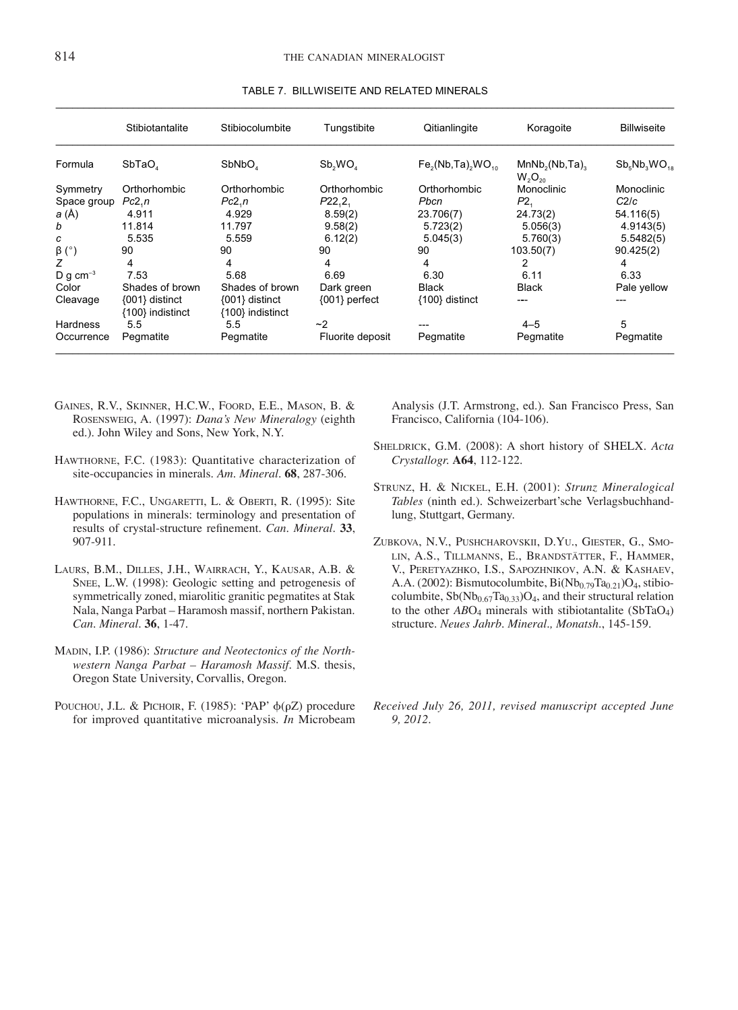|               | Stibiotantalite                    | Stibiocolumbite                        | Tungstibite      | Qitianlingite      | Koragoite                                              | <b>Billwiseite</b>    |
|---------------|------------------------------------|----------------------------------------|------------------|--------------------|--------------------------------------------------------|-----------------------|
| Formula       | SbTaO <sub>a</sub>                 | SbNbO <sub>4</sub>                     | Sb, WO           | $Fe2(Nb, Ta)2WO10$ | MnNb <sub>2</sub> (Nb, Ta) <sub>2</sub><br>$W_2O_{20}$ | $Sb_{5}Nb_{3}WO_{18}$ |
| Symmetry      | Orthorhombic                       | Orthorhombic                           | Orthorhombic     | Orthorhombic       | Monoclinic                                             | Monoclinic            |
| Space group   | Pc2.n                              | Pc2,n                                  | P22,2,           | Pbcn               | P <sub>2</sub>                                         | C2/c                  |
| a (Å)         | 4.911                              | 4.929                                  | 8.59(2)          | 23.706(7)          | 24.73(2)                                               | 54.116(5)             |
| b             | 11.814                             | 11.797                                 | 9.58(2)          | 5.723(2)           | 5.056(3)                                               | 4.9143(5)             |
| c             | 5.535                              | 5.559                                  | 6.12(2)          | 5.045(3)           | 5.760(3)                                               | 5.5482(5)             |
| $\beta$ (°)   | 90                                 | 90                                     | 90               | 90                 | 103.50(7)                                              | 90.425(2)             |
| Z             | 4                                  | 4                                      | 4                | 4                  | 2                                                      | 4                     |
| D g $cm^{-3}$ | 7.53                               | 5.68                                   | 6.69             | 6.30               | 6.11                                                   | 6.33                  |
| Color         | Shades of brown                    | Shades of brown                        | Dark green       | <b>Black</b>       | <b>Black</b>                                           | Pale yellow           |
| Cleavage      | {001} distinct<br>{100} indistinct | $\{001\}$ distinct<br>{100} indistinct | ${001}$ perfect  | {100} distinct     | ---                                                    | ---                   |
| Hardness      | 5.5                                | 5.5                                    | ~2               | ---                | $4 - 5$                                                | 5                     |
| Occurrence    | Pegmatite                          | Pegmatite                              | Fluorite deposit | Pegmatite          | Pegmatite                                              | Pegmatite             |

#### TABLE 7. BILLWISEITE AND RELATED MINERALS \_\_\_\_\_\_\_\_\_\_\_\_\_\_\_\_\_\_\_\_\_\_\_\_\_\_\_\_\_\_\_\_\_\_\_\_\_\_\_\_\_\_\_\_\_\_\_\_\_\_\_\_\_\_\_\_\_\_\_\_\_\_\_\_\_\_\_\_\_\_\_\_\_\_\_\_\_\_\_\_\_\_\_\_\_\_\_\_\_\_\_\_\_\_\_\_\_\_\_\_\_\_\_\_\_\_\_\_\_\_\_

- Gaines, R.V., Skinner, H.C.W., Foord, E.E., Mason, B. & Rosensweig, A. (1997): *Dana's New Mineralogy* (eighth ed.). John Wiley and Sons, New York, N.Y.
- Hawthorne, F.C. (1983): Quantitative characterization of site-occupancies in minerals. *Am. Mineral.* **68**, 287-306.
- HAWTHORNE, F.C., UNGARETTI, L. & OBERTI, R. (1995): Site populations in minerals: terminology and presentation of results of crystal-structure refinement. *Can. Mineral.* **33**, 907-911.
- Laurs, B.M., Dilles, J.H., Wairrach, Y., Kausar, A.B. & SNEE, L.W. (1998): Geologic setting and petrogenesis of symmetrically zoned, miarolitic granitic pegmatites at Stak Nala, Nanga Parbat – Haramosh massif, northern Pakistan. *Can. Mineral*. **36**, 1-47.
- Madin, I.P. (1986): *Structure and Neotectonics of the Northwestern Nanga Parbat – Haramosh Massif.* M.S. thesis, Oregon State University, Corvallis, Oregon.
- POUCHOU, J.L. & PICHOIR, F. (1985): 'PAP'  $\phi(\rho Z)$  procedure for improved quantitative microanalysis. *In* Microbeam

Analysis (J.T. Armstrong, ed.). San Francisco Press, San Francisco, California (104-106).

- Sheldrick, G.M. (2008): A short history of SHELX. *Acta Crystallogr.* **A64**, 112-122.
- Strunz, H. & Nickel, E.H. (2001): *Strunz Mineralogical Tables* (ninth ed.). Schweizerbart'sche Verlagsbuchhandlung, Stuttgart, Germany.
- Zubkova, N.V., Pushcharovskii, D.Yu., Giester, G., Smolin, A.S., Tillmanns, E., Brandstätter, F., Hammer, V., Peretyazhko, I.S., Sapozhnikov, A.N. & Kashaev, A.A. (2002): Bismutocolumbite,  $Bi(Nb_{0.79}Ta_{0.21})O_4$ , stibiocolumbite,  $Sb(Nb_{0.67}Ta_{0.33})O_4$ , and their structural relation to the other *AB*O4 minerals with stibiotantalite (SbTaO4) structure. *Neues Jahrb. Mineral., Monatsh.*, 145-159.
- *Received July 26, 2011, revised manuscript accepted June 9, 2012.*